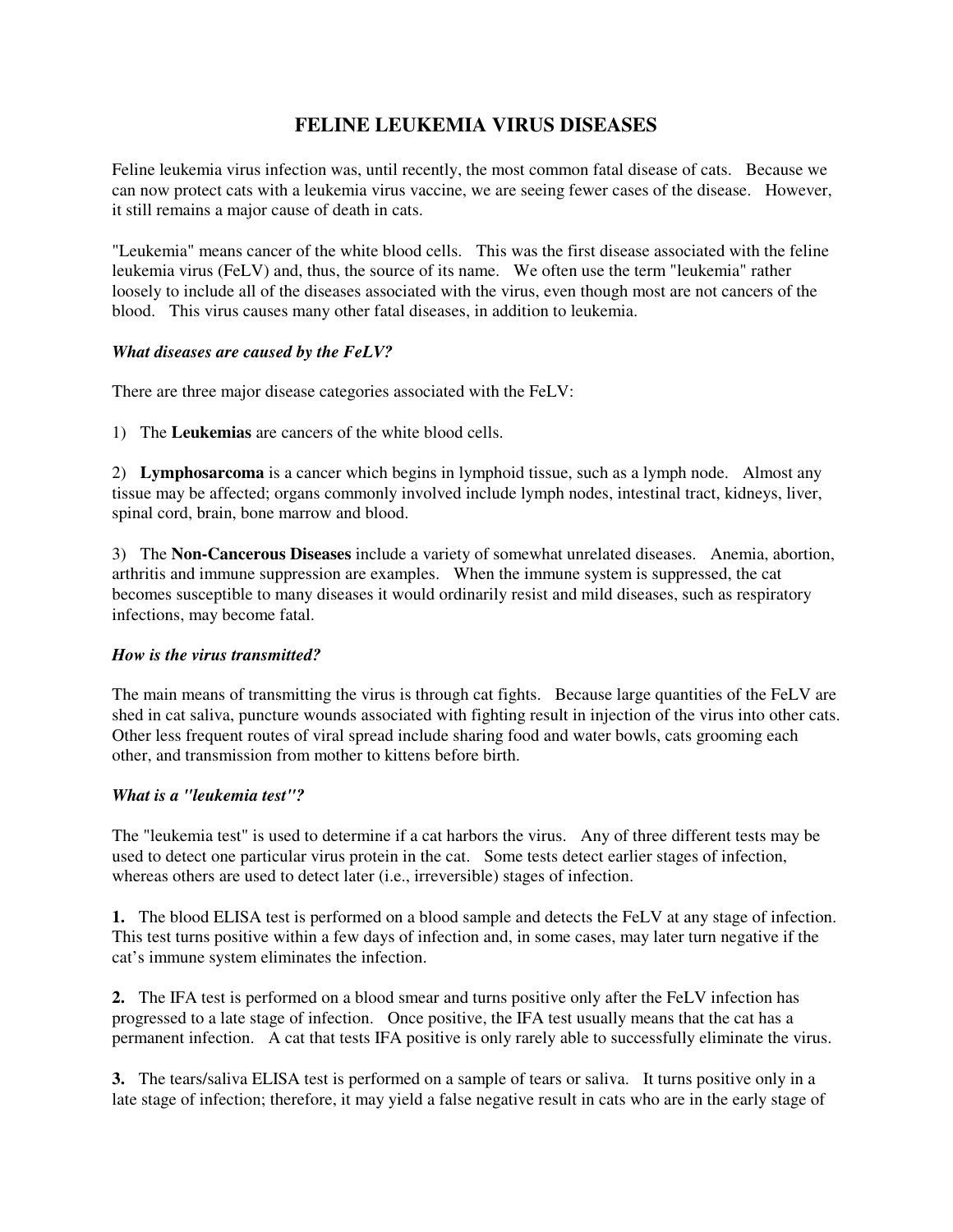# **FELINE LEUKEMIA VIRUS DISEASES**

Feline leukemia virus infection was, until recently, the most common fatal disease of cats. Because we can now protect cats with a leukemia virus vaccine, we are seeing fewer cases of the disease. However, it still remains a major cause of death in cats.

"Leukemia" means cancer of the white blood cells. This was the first disease associated with the feline leukemia virus (FeLV) and, thus, the source of its name. We often use the term "leukemia" rather loosely to include all of the diseases associated with the virus, even though most are not cancers of the blood. This virus causes many other fatal diseases, in addition to leukemia.

## *What diseases are caused by the FeLV?*

There are three major disease categories associated with the FeLV:

1) The **Leukemias** are cancers of the white blood cells.

2) **Lymphosarcoma** is a cancer which begins in lymphoid tissue, such as a lymph node. Almost any tissue may be affected; organs commonly involved include lymph nodes, intestinal tract, kidneys, liver, spinal cord, brain, bone marrow and blood.

3) The **Non-Cancerous Diseases** include a variety of somewhat unrelated diseases. Anemia, abortion, arthritis and immune suppression are examples. When the immune system is suppressed, the cat becomes susceptible to many diseases it would ordinarily resist and mild diseases, such as respiratory infections, may become fatal.

#### *How is the virus transmitted?*

The main means of transmitting the virus is through cat fights. Because large quantities of the FeLV are shed in cat saliva, puncture wounds associated with fighting result in injection of the virus into other cats. Other less frequent routes of viral spread include sharing food and water bowls, cats grooming each other, and transmission from mother to kittens before birth.

## *What is a "leukemia test"?*

The "leukemia test" is used to determine if a cat harbors the virus. Any of three different tests may be used to detect one particular virus protein in the cat. Some tests detect earlier stages of infection, whereas others are used to detect later (i.e., irreversible) stages of infection.

**1.** The blood ELISA test is performed on a blood sample and detects the FeLV at any stage of infection. This test turns positive within a few days of infection and, in some cases, may later turn negative if the cat's immune system eliminates the infection.

**2.** The IFA test is performed on a blood smear and turns positive only after the FeLV infection has progressed to a late stage of infection. Once positive, the IFA test usually means that the cat has a permanent infection. A cat that tests IFA positive is only rarely able to successfully eliminate the virus.

**3.** The tears/saliva ELISA test is performed on a sample of tears or saliva. It turns positive only in a late stage of infection; therefore, it may yield a false negative result in cats who are in the early stage of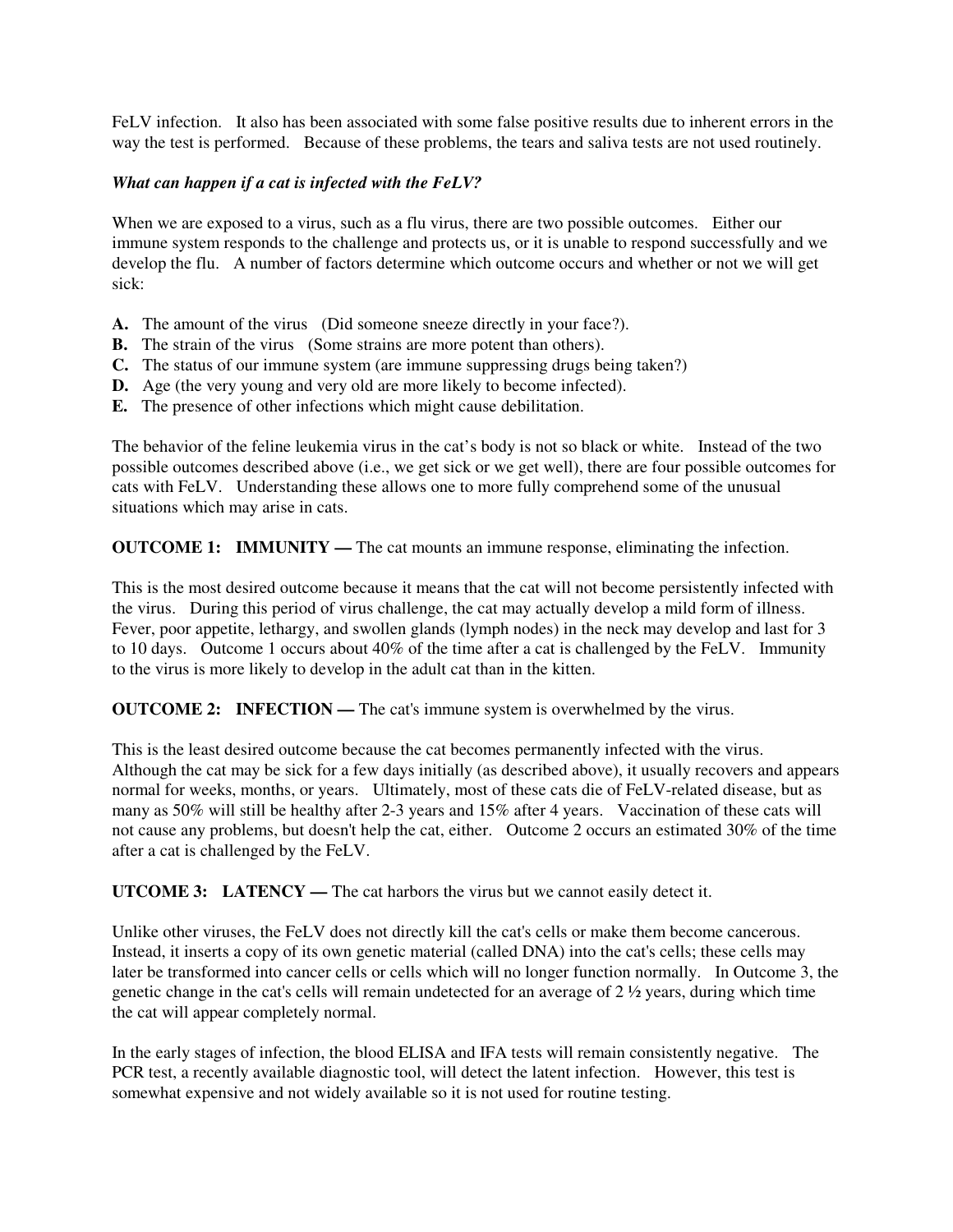FeLV infection. It also has been associated with some false positive results due to inherent errors in the way the test is performed. Because of these problems, the tears and saliva tests are not used routinely.

## *What can happen if a cat is infected with the FeLV?*

When we are exposed to a virus, such as a flu virus, there are two possible outcomes. Either our immune system responds to the challenge and protects us, or it is unable to respond successfully and we develop the flu. A number of factors determine which outcome occurs and whether or not we will get sick:

- **A.** The amount of the virus (Did someone sneeze directly in your face?).
- **B.** The strain of the virus (Some strains are more potent than others).
- **C.** The status of our immune system (are immune suppressing drugs being taken?)
- **D.** Age (the very young and very old are more likely to become infected).
- **E.** The presence of other infections which might cause debilitation.

The behavior of the feline leukemia virus in the cat's body is not so black or white. Instead of the two possible outcomes described above (i.e., we get sick or we get well), there are four possible outcomes for cats with FeLV. Understanding these allows one to more fully comprehend some of the unusual situations which may arise in cats.

**OUTCOME 1: IMMUNITY** — The cat mounts an immune response, eliminating the infection.

This is the most desired outcome because it means that the cat will not become persistently infected with the virus. During this period of virus challenge, the cat may actually develop a mild form of illness. Fever, poor appetite, lethargy, and swollen glands (lymph nodes) in the neck may develop and last for 3 to 10 days. Outcome 1 occurs about 40% of the time after a cat is challenged by the FeLV. Immunity to the virus is more likely to develop in the adult cat than in the kitten.

**OUTCOME 2: INFECTION** — The cat's immune system is overwhelmed by the virus.

This is the least desired outcome because the cat becomes permanently infected with the virus. Although the cat may be sick for a few days initially (as described above), it usually recovers and appears normal for weeks, months, or years. Ultimately, most of these cats die of FeLV-related disease, but as many as 50% will still be healthy after 2-3 years and 15% after 4 years. Vaccination of these cats will not cause any problems, but doesn't help the cat, either. Outcome 2 occurs an estimated 30% of the time after a cat is challenged by the FeLV.

**UTCOME 3: LATENCY —** The cat harbors the virus but we cannot easily detect it.

Unlike other viruses, the FeLV does not directly kill the cat's cells or make them become cancerous. Instead, it inserts a copy of its own genetic material (called DNA) into the cat's cells; these cells may later be transformed into cancer cells or cells which will no longer function normally. In Outcome 3, the genetic change in the cat's cells will remain undetected for an average of 2 ½ years, during which time the cat will appear completely normal.

In the early stages of infection, the blood ELISA and IFA tests will remain consistently negative. The PCR test, a recently available diagnostic tool, will detect the latent infection. However, this test is somewhat expensive and not widely available so it is not used for routine testing.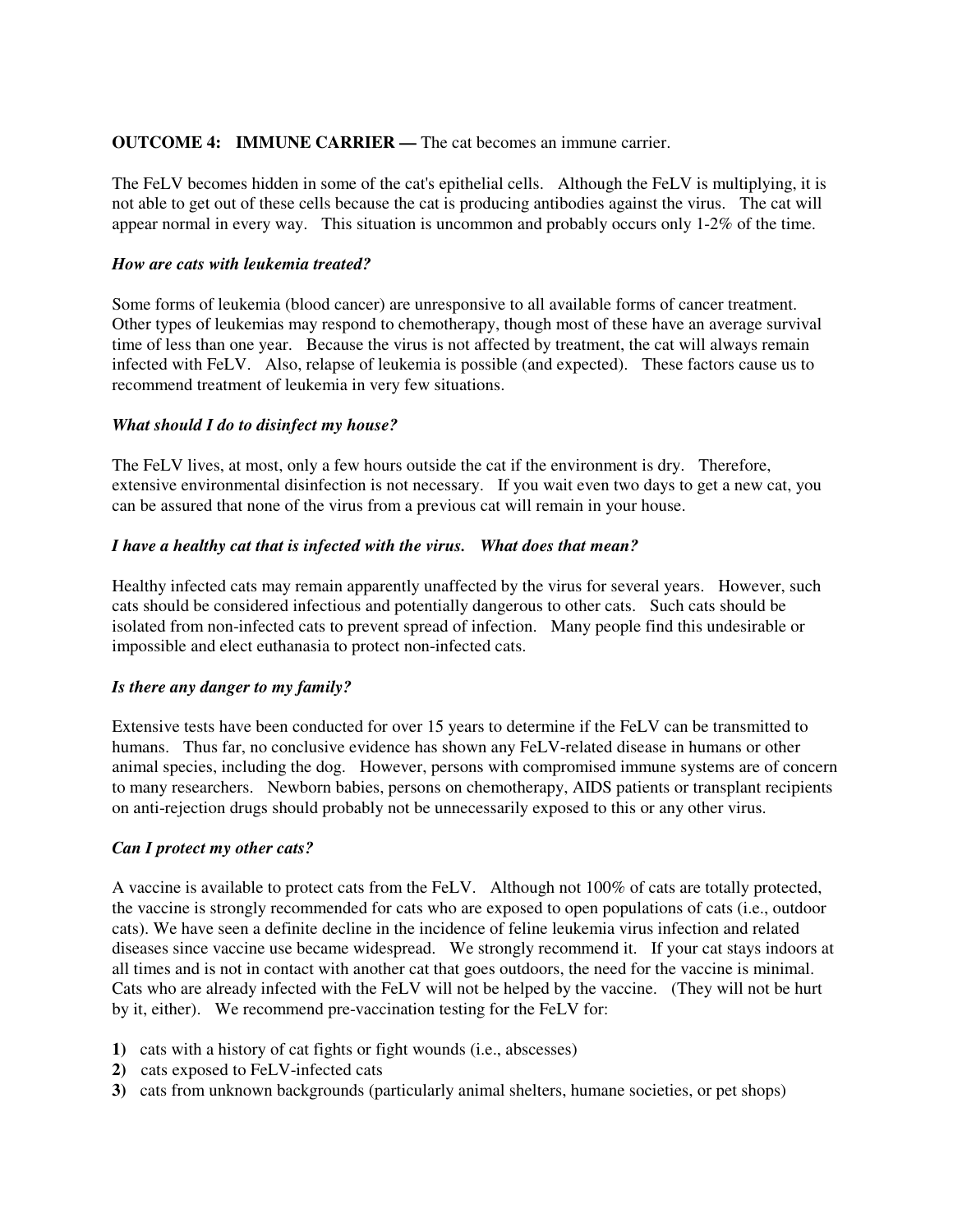## **OUTCOME 4: IMMUNE CARRIER —** The cat becomes an immune carrier.

The FeLV becomes hidden in some of the cat's epithelial cells. Although the FeLV is multiplying, it is not able to get out of these cells because the cat is producing antibodies against the virus. The cat will appear normal in every way. This situation is uncommon and probably occurs only 1-2% of the time.

#### *How are cats with leukemia treated?*

Some forms of leukemia (blood cancer) are unresponsive to all available forms of cancer treatment. Other types of leukemias may respond to chemotherapy, though most of these have an average survival time of less than one year. Because the virus is not affected by treatment, the cat will always remain infected with FeLV. Also, relapse of leukemia is possible (and expected). These factors cause us to recommend treatment of leukemia in very few situations.

## *What should I do to disinfect my house?*

The FeLV lives, at most, only a few hours outside the cat if the environment is dry. Therefore, extensive environmental disinfection is not necessary. If you wait even two days to get a new cat, you can be assured that none of the virus from a previous cat will remain in your house.

## *I have a healthy cat that is infected with the virus. What does that mean?*

Healthy infected cats may remain apparently unaffected by the virus for several years. However, such cats should be considered infectious and potentially dangerous to other cats. Such cats should be isolated from non-infected cats to prevent spread of infection. Many people find this undesirable or impossible and elect euthanasia to protect non-infected cats.

## *Is there any danger to my family?*

Extensive tests have been conducted for over 15 years to determine if the FeLV can be transmitted to humans. Thus far, no conclusive evidence has shown any FeLV-related disease in humans or other animal species, including the dog. However, persons with compromised immune systems are of concern to many researchers. Newborn babies, persons on chemotherapy, AIDS patients or transplant recipients on anti-rejection drugs should probably not be unnecessarily exposed to this or any other virus.

#### *Can I protect my other cats?*

A vaccine is available to protect cats from the FeLV. Although not 100% of cats are totally protected, the vaccine is strongly recommended for cats who are exposed to open populations of cats (i.e., outdoor cats). We have seen a definite decline in the incidence of feline leukemia virus infection and related diseases since vaccine use became widespread. We strongly recommend it. If your cat stays indoors at all times and is not in contact with another cat that goes outdoors, the need for the vaccine is minimal. Cats who are already infected with the FeLV will not be helped by the vaccine. (They will not be hurt by it, either). We recommend pre-vaccination testing for the FeLV for:

- **1)** cats with a history of cat fights or fight wounds (i.e., abscesses)
- **2)** cats exposed to FeLV-infected cats
- **3)** cats from unknown backgrounds (particularly animal shelters, humane societies, or pet shops)